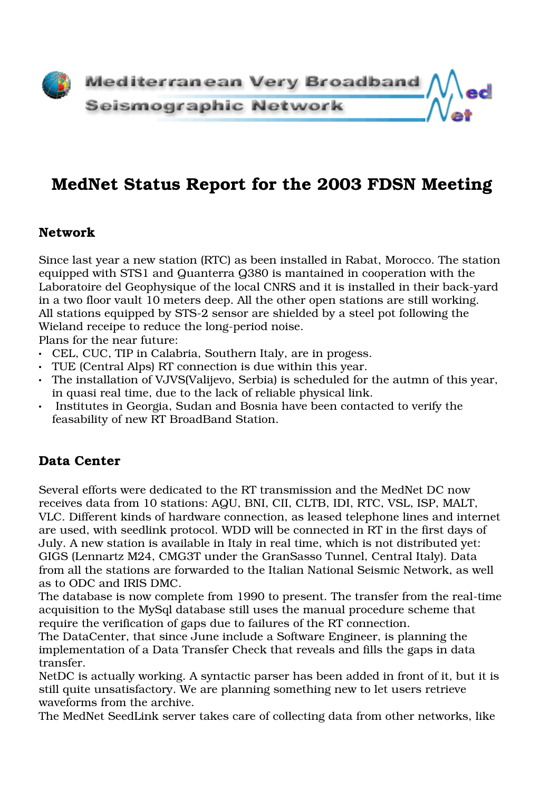

# MedNet Status Report for the 2003 FDSN Meeting

#### Network

Since last year a new station (RTC) as been installed in Rabat, Morocco. The station equipped with STS1 and Quanterra Q380 is mantained in cooperation with the Laboratoire del Geophysique of the local CNRS and it is installed in their back-yard in a two floor vault 10 meters deep. All the other open stations are still working. All stations equipped by STS-2 sensor are shielded by a steel pot following the Wieland receipe to reduce the long-period noise.

Plans for the near future:

- CEL, CUC, TIP in Calabria, Southern Italy, are in progess.
- TUE (Central Alps) RT connection is due within this year.
- The installation of VJVS(Valijevo, Serbia) is scheduled for the autmn of this year, in quasi real time, due to the lack of reliable physical link.
- Institutes in Georgia, Sudan and Bosnia have been contacted to verify the feasability of new RT BroadBand Station.

#### Data Center

Several efforts were dedicated to the RT transmission and the MedNet DC now receives data from 10 stations: AQU, BNI, CII, CLTB, IDI, RTC, VSL, ISP, MALT, VLC. Different kinds of hardware connection, as leased telephone lines and internet are used, with seedlink protocol. WDD will be connected in RT in the first days of July. A new station is available in Italy in real time, which is not distributed yet: GIGS (Lennartz M24, CMG3T under the GranSasso Tunnel, Central Italy). Data from all the stations are forwarded to the Italian National Seismic Network, as well as to ODC and IRIS DMC.

The database is now complete from 1990 to present. The transfer from the real-time acquisition to the MySql database still uses the manual procedure scheme that require the verification of gaps due to failures of the RT connection.

The DataCenter, that since June include a Software Engineer, is planning the implementation of a Data Transfer Check that reveals and fills the gaps in data transfer.

NetDC is actually working. A syntactic parser has been added in front of it, but it is still quite unsatisfactory. We are planning something new to let users retrieve waveforms from the archive.

The MedNet SeedLink server takes care of collecting data from other networks, like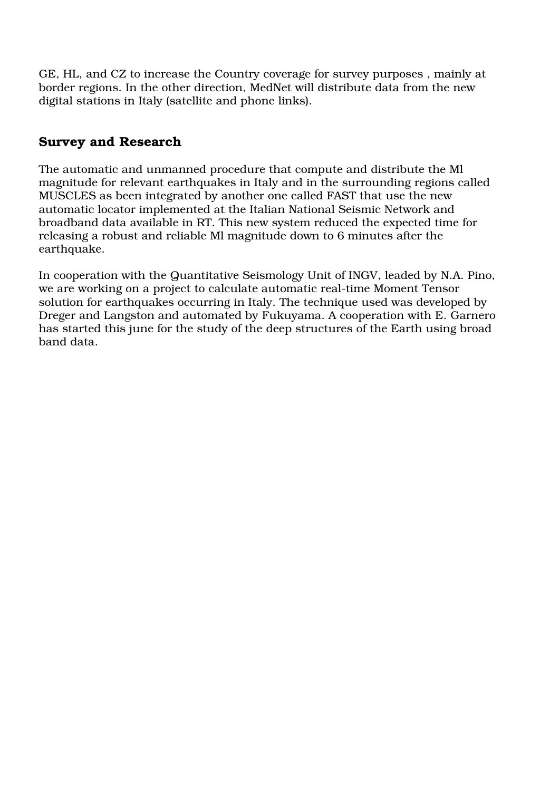GE, HL, and CZ to increase the Country coverage for survey purposes , mainly at border regions. In the other direction, MedNet will distribute data from the new digital stations in Italy (satellite and phone links).

### Survey and Research

The automatic and unmanned procedure that compute and distribute the Ml magnitude for relevant earthquakes in Italy and in the surrounding regions called MUSCLES as been integrated by another one called FAST that use the new automatic locator implemented at the Italian National Seismic Network and broadband data available in RT. This new system reduced the expected time for releasing a robust and reliable Ml magnitude down to 6 minutes after the earthquake.

In cooperation with the Quantitative Seismology Unit of INGV, leaded by N.A. Pino, we are working on a project to calculate automatic real-time Moment Tensor solution for earthquakes occurring in Italy. The technique used was developed by Dreger and Langston and automated by Fukuyama. A cooperation with E. Garnero has started this june for the study of the deep structures of the Earth using broad band data.